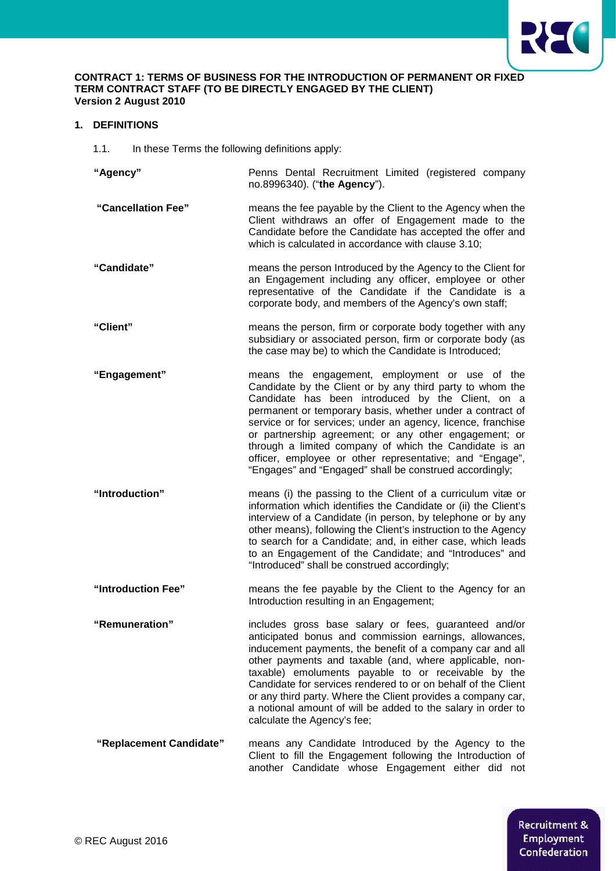

### **CONTRACT 1: TERMS OF BUSINESS FOR THE INTRODUCTION OF PERMANENT OR FIXED TERM CONTRACT STAFF (TO BE DIRECTLY ENGAGED BY THE CLIENT) Version 2 August 2010**

# **1. DEFINITIONS**

1.1. In these Terms the following definitions apply:

**"Agency"** Penns Dental Recruitment Limited (registered company no.8996340)*.* ("**the Agency**").

- **"Cancellation Fee"** means the fee payable by the Client to the Agency when the Client withdraws an offer of Engagement made to the Candidate before the Candidate has accepted the offer and which is calculated in accordance with clause 3.10;
- **"Candidate"** means the person Introduced by the Agency to the Client for an Engagement including any officer, employee or other representative of the Candidate if the Candidate is a corporate body, and members of the Agency's own staff;
- **"Client"** means the person, firm or corporate body together with any subsidiary or associated person, firm or corporate body (as the case may be) to which the Candidate is Introduced;
- **"Engagement"** means the engagement, employment or use of the Candidate by the Client or by any third party to whom the Candidate has been introduced by the Client, on a permanent or temporary basis, whether under a contract of service or for services; under an agency, licence, franchise or partnership agreement; or any other engagement; or through a limited company of which the Candidate is an officer, employee or other representative; and "Engage", "Engages" and "Engaged" shall be construed accordingly;
- **"Introduction"** means (i) the passing to the Client of a curriculum vitæ or information which identifies the Candidate or (ii) the Client's interview of a Candidate (in person, by telephone or by any other means), following the Client's instruction to the Agency to search for a Candidate; and, in either case, which leads to an Engagement of the Candidate; and "Introduces" and "Introduced" shall be construed accordingly;
- **"Introduction Fee"** means the fee payable by the Client to the Agency for an Introduction resulting in an Engagement;
- **"Remuneration"** includes gross base salary or fees, guaranteed and/or anticipated bonus and commission earnings, allowances, inducement payments, the benefit of a company car and all other payments and taxable (and, where applicable, nontaxable) emoluments payable to or receivable by the Candidate for services rendered to or on behalf of the Client or any third party. Where the Client provides a company car, a notional amount of will be added to the salary in order to calculate the Agency's fee;
- **"Replacement Candidate"** means any Candidate Introduced by the Agency to the Client to fill the Engagement following the Introduction of another Candidate whose Engagement either did not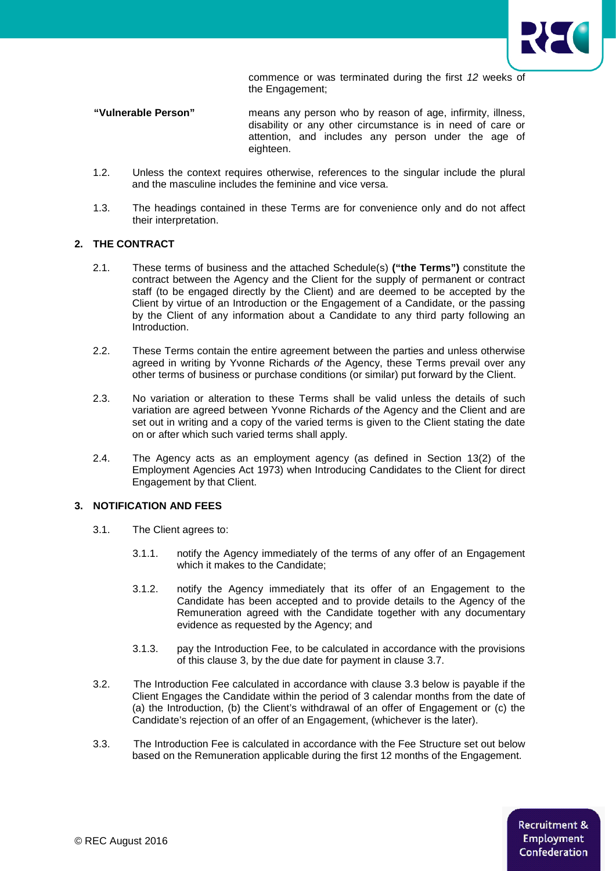

commence or was terminated during the first *12* weeks of the Engagement;

- **"Vulnerable Person"** means any person who by reason of age, infirmity, illness, disability or any other circumstance is in need of care or attention, and includes any person under the age of eighteen.
- 1.2. Unless the context requires otherwise, references to the singular include the plural and the masculine includes the feminine and vice versa.
- 1.3. The headings contained in these Terms are for convenience only and do not affect their interpretation.

# **2. THE CONTRACT**

- 2.1. These terms of business and the attached Schedule(s) **("the Terms")** constitute the contract between the Agency and the Client for the supply of permanent or contract staff (to be engaged directly by the Client) and are deemed to be accepted by the Client by virtue of an Introduction or the Engagement of a Candidate, or the passing by the Client of any information about a Candidate to any third party following an Introduction.
- 2.2. These Terms contain the entire agreement between the parties and unless otherwise agreed in writing by Yvonne Richards *of* the Agency, these Terms prevail over any other terms of business or purchase conditions (or similar) put forward by the Client.
- 2.3. No variation or alteration to these Terms shall be valid unless the details of such variation are agreed between Yvonne Richards *of* the Agency and the Client and are set out in writing and a copy of the varied terms is given to the Client stating the date on or after which such varied terms shall apply.
- 2.4. The Agency acts as an employment agency (as defined in Section 13(2) of the Employment Agencies Act 1973) when Introducing Candidates to the Client for direct Engagement by that Client.

### **3. NOTIFICATION AND FEES**

- 3.1. The Client agrees to:
	- 3.1.1. notify the Agency immediately of the terms of any offer of an Engagement which it makes to the Candidate;
	- 3.1.2. notify the Agency immediately that its offer of an Engagement to the Candidate has been accepted and to provide details to the Agency of the Remuneration agreed with the Candidate together with any documentary evidence as requested by the Agency; and
	- 3.1.3. pay the Introduction Fee, to be calculated in accordance with the provisions of this clause 3, by the due date for payment in clause 3.7.
- 3.2. The Introduction Fee calculated in accordance with clause 3.3 below is payable if the Client Engages the Candidate within the period of 3 calendar months from the date of (a) the Introduction, (b) the Client's withdrawal of an offer of Engagement or (c) the Candidate's rejection of an offer of an Engagement, (whichever is the later).
- 3.3. The Introduction Fee is calculated in accordance with the Fee Structure set out below based on the Remuneration applicable during the first 12 months of the Engagement.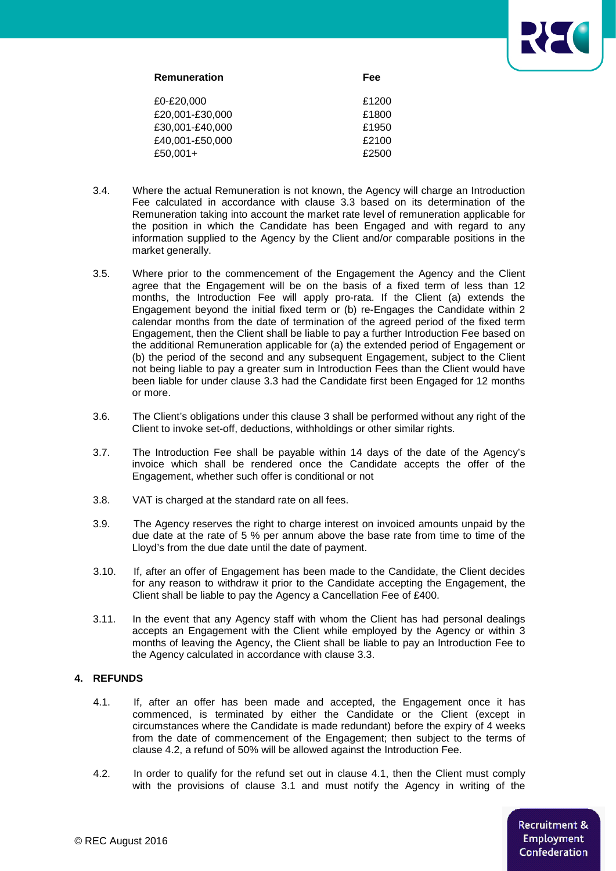

| Remuneration    | Fee   |
|-----------------|-------|
| £0-£20.000      | £1200 |
| £20,001-£30,000 | £1800 |
| £30,001-£40,000 | £1950 |
| £40,001-£50,000 | £2100 |
| £50,001+        | £2500 |
|                 |       |

- 3.4. Where the actual Remuneration is not known, the Agency will charge an Introduction Fee calculated in accordance with clause 3.3 based on its determination of the Remuneration taking into account the market rate level of remuneration applicable for the position in which the Candidate has been Engaged and with regard to any information supplied to the Agency by the Client and/or comparable positions in the market generally.
- 3.5. Where prior to the commencement of the Engagement the Agency and the Client agree that the Engagement will be on the basis of a fixed term of less than 12 months, the Introduction Fee will apply pro-rata. If the Client (a) extends the Engagement beyond the initial fixed term or (b) re-Engages the Candidate within 2 calendar months from the date of termination of the agreed period of the fixed term Engagement, then the Client shall be liable to pay a further Introduction Fee based on the additional Remuneration applicable for (a) the extended period of Engagement or (b) the period of the second and any subsequent Engagement, subject to the Client not being liable to pay a greater sum in Introduction Fees than the Client would have been liable for under clause 3.3 had the Candidate first been Engaged for 12 months or more.
- 3.6. The Client's obligations under this clause 3 shall be performed without any right of the Client to invoke set-off, deductions, withholdings or other similar rights.
- 3.7. The Introduction Fee shall be payable within 14 days of the date of the Agency's invoice which shall be rendered once the Candidate accepts the offer of the Engagement, whether such offer is conditional or not
- 3.8. VAT is charged at the standard rate on all fees.
- 3.9. The Agency reserves the right to charge interest on invoiced amounts unpaid by the due date at the rate of 5 % per annum above the base rate from time to time of the Lloyd's from the due date until the date of payment.
- 3.10. If, after an offer of Engagement has been made to the Candidate, the Client decides for any reason to withdraw it prior to the Candidate accepting the Engagement, the Client shall be liable to pay the Agency a Cancellation Fee of £400.
- 3.11. In the event that any Agency staff with whom the Client has had personal dealings accepts an Engagement with the Client while employed by the Agency or within 3 months of leaving the Agency, the Client shall be liable to pay an Introduction Fee to the Agency calculated in accordance with clause 3.3.

### **4. REFUNDS**

- 4.1. If, after an offer has been made and accepted, the Engagement once it has commenced, is terminated by either the Candidate or the Client (except in circumstances where the Candidate is made redundant) before the expiry of 4 weeks from the date of commencement of the Engagement; then subject to the terms of clause 4.2, a refund of 50% will be allowed against the Introduction Fee.
- 4.2. In order to qualify for the refund set out in clause 4.1, then the Client must comply with the provisions of clause 3.1 and must notify the Agency in writing of the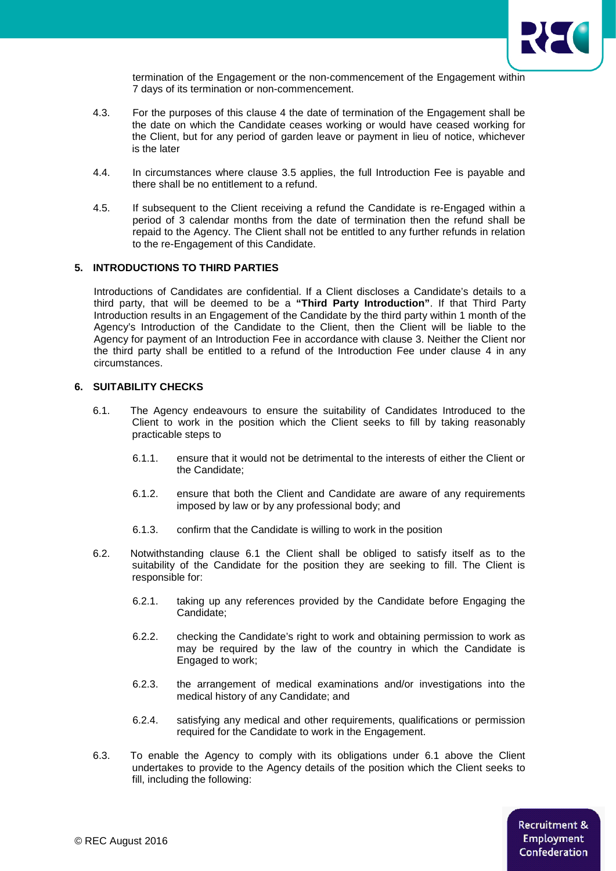

termination of the Engagement or the non-commencement of the Engagement within 7 days of its termination or non-commencement.

- 4.3. For the purposes of this clause 4 the date of termination of the Engagement shall be the date on which the Candidate ceases working or would have ceased working for the Client, but for any period of garden leave or payment in lieu of notice, whichever is the later
- 4.4. In circumstances where clause 3.5 applies, the full Introduction Fee is payable and there shall be no entitlement to a refund.
- 4.5. If subsequent to the Client receiving a refund the Candidate is re-Engaged within a period of 3 calendar months from the date of termination then the refund shall be repaid to the Agency. The Client shall not be entitled to any further refunds in relation to the re-Engagement of this Candidate.

# **5. INTRODUCTIONS TO THIRD PARTIES**

Introductions of Candidates are confidential. If a Client discloses a Candidate's details to a third party, that will be deemed to be a **"Third Party Introduction"**. If that Third Party Introduction results in an Engagement of the Candidate by the third party within 1 month of the Agency's Introduction of the Candidate to the Client, then the Client will be liable to the Agency for payment of an Introduction Fee in accordance with clause 3. Neither the Client nor the third party shall be entitled to a refund of the Introduction Fee under clause 4 in any circumstances.

### **6. SUITABILITY CHECKS**

- 6.1. The Agency endeavours to ensure the suitability of Candidates Introduced to the Client to work in the position which the Client seeks to fill by taking reasonably practicable steps to
	- 6.1.1. ensure that it would not be detrimental to the interests of either the Client or the Candidate;
	- 6.1.2. ensure that both the Client and Candidate are aware of any requirements imposed by law or by any professional body; and
	- 6.1.3. confirm that the Candidate is willing to work in the position
- 6.2. Notwithstanding clause 6.1 the Client shall be obliged to satisfy itself as to the suitability of the Candidate for the position they are seeking to fill. The Client is responsible for:
	- 6.2.1. taking up any references provided by the Candidate before Engaging the Candidate;
	- 6.2.2. checking the Candidate's right to work and obtaining permission to work as may be required by the law of the country in which the Candidate is Engaged to work;
	- 6.2.3. the arrangement of medical examinations and/or investigations into the medical history of any Candidate; and
	- 6.2.4. satisfying any medical and other requirements, qualifications or permission required for the Candidate to work in the Engagement.
- 6.3. To enable the Agency to comply with its obligations under 6.1 above the Client undertakes to provide to the Agency details of the position which the Client seeks to fill, including the following: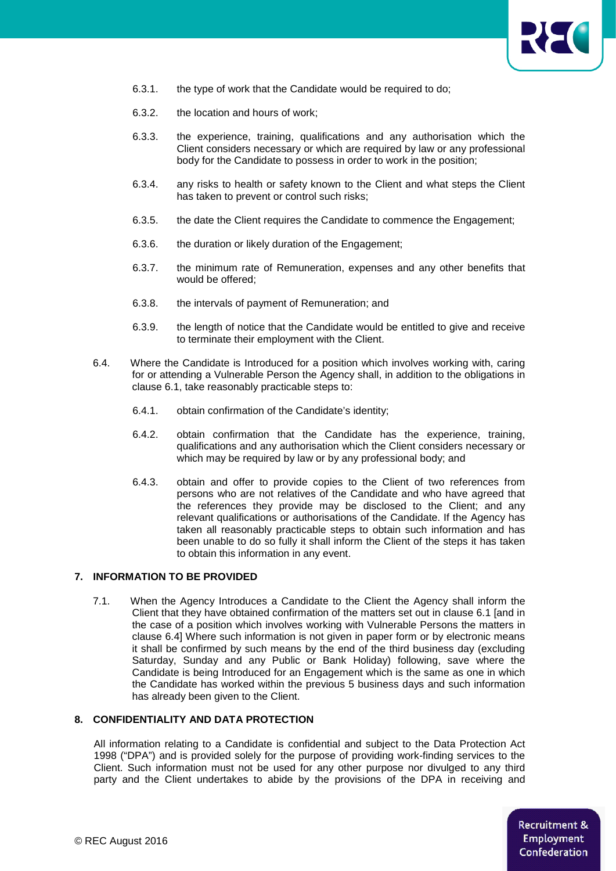

- 6.3.1. the type of work that the Candidate would be required to do;
- 6.3.2. the location and hours of work;
- 6.3.3. the experience, training, qualifications and any authorisation which the Client considers necessary or which are required by law or any professional body for the Candidate to possess in order to work in the position;
- 6.3.4. any risks to health or safety known to the Client and what steps the Client has taken to prevent or control such risks;
- 6.3.5. the date the Client requires the Candidate to commence the Engagement;
- 6.3.6. the duration or likely duration of the Engagement;
- 6.3.7. the minimum rate of Remuneration, expenses and any other benefits that would be offered;
- 6.3.8. the intervals of payment of Remuneration; and
- 6.3.9. the length of notice that the Candidate would be entitled to give and receive to terminate their employment with the Client.
- 6.4. Where the Candidate is Introduced for a position which involves working with, caring for or attending a Vulnerable Person the Agency shall, in addition to the obligations in clause 6.1, take reasonably practicable steps to:
	- 6.4.1. obtain confirmation of the Candidate's identity;
	- 6.4.2. obtain confirmation that the Candidate has the experience, training, qualifications and any authorisation which the Client considers necessary or which may be required by law or by any professional body; and
	- 6.4.3. obtain and offer to provide copies to the Client of two references from persons who are not relatives of the Candidate and who have agreed that the references they provide may be disclosed to the Client; and any relevant qualifications or authorisations of the Candidate. If the Agency has taken all reasonably practicable steps to obtain such information and has been unable to do so fully it shall inform the Client of the steps it has taken to obtain this information in any event.

#### **7. INFORMATION TO BE PROVIDED**

7.1. When the Agency Introduces a Candidate to the Client the Agency shall inform the Client that they have obtained confirmation of the matters set out in clause 6.1 [and in the case of a position which involves working with Vulnerable Persons the matters in clause 6.4] Where such information is not given in paper form or by electronic means it shall be confirmed by such means by the end of the third business day (excluding Saturday, Sunday and any Public or Bank Holiday) following, save where the Candidate is being Introduced for an Engagement which is the same as one in which the Candidate has worked within the previous 5 business days and such information has already been given to the Client.

# **8. CONFIDENTIALITY AND DATA PROTECTION**

All information relating to a Candidate is confidential and subject to the Data Protection Act 1998 ("DPA") and is provided solely for the purpose of providing work-finding services to the Client. Such information must not be used for any other purpose nor divulged to any third party and the Client undertakes to abide by the provisions of the DPA in receiving and